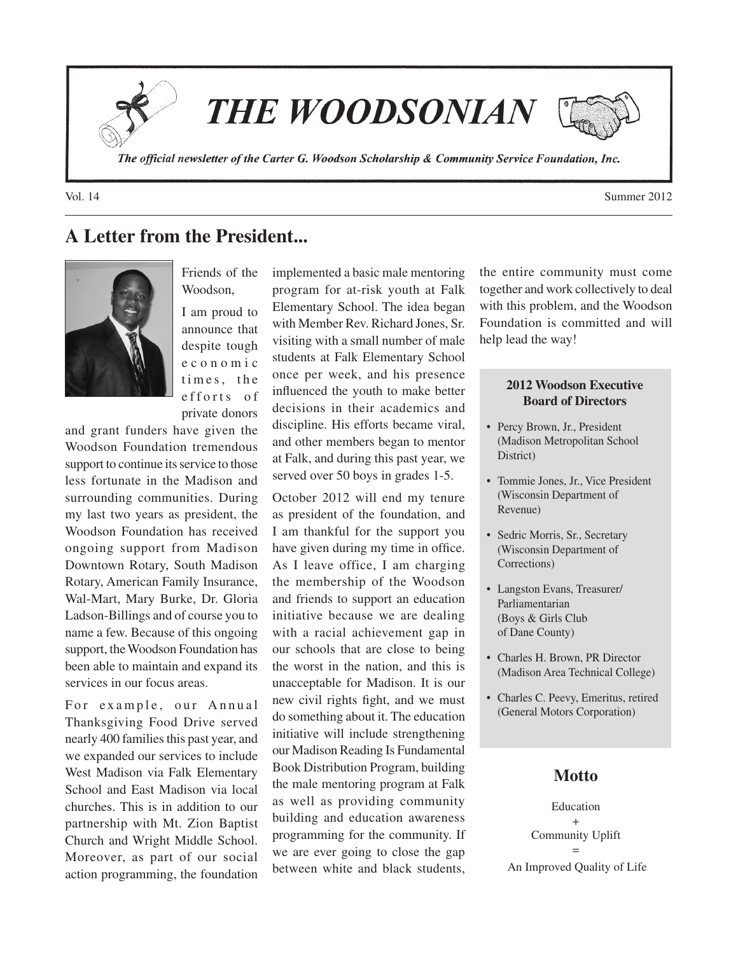**THE WOODSONIAN** 

The official newsletter of the Carter G. Woodson Scholarship & Community Service Foundation, Inc.

Vol. 14 Summer 2012

# **A Letter from the President...**



Friends of the Woodson, I am proud to announce that despite tough e c o n o m i c times, the e f f o r t s o f private donors

and grant funders have given the Woodson Foundation tremendous support to continue its service to those less fortunate in the Madison and surrounding communities. During my last two years as president, the Woodson Foundation has received ongoing support from Madison Downtown Rotary, South Madison Rotary, American Family Insurance, Wal-Mart, Mary Burke, Dr. Gloria Ladson-Billings and of course you to name a few. Because of this ongoing support, the Woodson Foundation has been able to maintain and expand its services in our focus areas.

For example, our Annual Thanksgiving Food Drive served nearly 400 families this past year, and we expanded our services to include West Madison via Falk Elementary School and East Madison via local churches. This is in addition to our partnership with Mt. Zion Baptist Church and Wright Middle School. Moreover, as part of our social action programming, the foundation

implemented a basic male mentoring program for at-risk youth at Falk Elementary School. The idea began with Member Rev. Richard Jones, Sr. visiting with a small number of male students at Falk Elementary School once per week, and his presence influenced the youth to make better decisions in their academics and discipline. His efforts became viral, and other members began to mentor at Falk, and during this past year, we served over 50 boys in grades 1-5.

October 2012 will end my tenure as president of the foundation, and I am thankful for the support you have given during my time in office. As I leave office, I am charging the membership of the Woodson and friends to support an education initiative because we are dealing with a racial achievement gap in our schools that are close to being the worst in the nation, and this is unacceptable for Madison. It is our new civil rights fight, and we must do something about it. The education initiative will include strengthening our Madison Reading Is Fundamental Book Distribution Program, building the male mentoring program at Falk as well as providing community building and education awareness programming for the community. If we are ever going to close the gap between white and black students, the entire community must come together and work collectively to deal with this problem, and the Woodson Foundation is committed and will help lead the way!

#### **2012 Woodson Executive Board of Directors**

- Percy Brown, Jr., President (Madison Metropolitan School District)
- Tommie Jones, Jr., Vice President (Wisconsin Department of Revenue)
- Sedric Morris, Sr., Secretary (Wisconsin Department of Corrections)
- • Langston Evans, Treasurer/ Parliamentarian (Boys & Girls Club of Dane County)
- Charles H. Brown, PR Director (Madison Area Technical College)
- • Charles C. Peevy, Emeritus, retired (General Motors Corporation)

### **Motto**

Education + Community Uplift = An Improved Quality of Life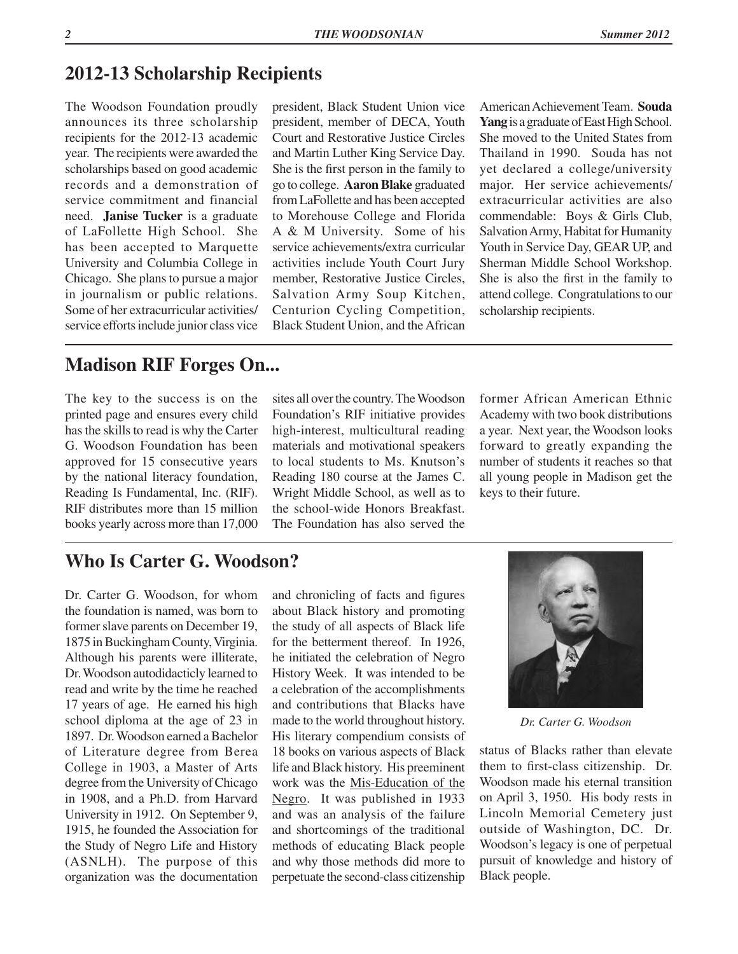## **2012-13 Scholarship Recipients**

The Woodson Foundation proudly announces its three scholarship recipients for the 2012-13 academic year. The recipients were awarded the scholarships based on good academic records and a demonstration of service commitment and financial need. **Janise Tucker** is a graduate of LaFollette High School. She has been accepted to Marquette University and Columbia College in Chicago. She plans to pursue a major in journalism or public relations. Some of her extracurricular activities/ service efforts include junior class vice

president, Black Student Union vice president, member of DECA, Youth Court and Restorative Justice Circles and Martin Luther King Service Day. She is the first person in the family to go to college. **Aaron Blake** graduated from LaFollette and has been accepted to Morehouse College and Florida A & M University. Some of his service achievements/extra curricular activities include Youth Court Jury member, Restorative Justice Circles, Salvation Army Soup Kitchen, Centurion Cycling Competition, Black Student Union, and the African

American Achievement Team. **Souda Yang** is a graduate of East High School. She moved to the United States from Thailand in 1990. Souda has not yet declared a college/university major. Her service achievements/ extracurricular activities are also commendable: Boys & Girls Club, Salvation Army, Habitat for Humanity Youth in Service Day, GEAR UP, and Sherman Middle School Workshop. She is also the first in the family to attend college. Congratulations to our scholarship recipients.

## **Madison RIF Forges On...**

The key to the success is on the printed page and ensures every child has the skills to read is why the Carter G. Woodson Foundation has been approved for 15 consecutive years by the national literacy foundation, Reading Is Fundamental, Inc. (RIF). RIF distributes more than 15 million books yearly across more than 17,000

sites all over the country. The Woodson Foundation's RIF initiative provides high-interest, multicultural reading materials and motivational speakers to local students to Ms. Knutson's Reading 180 course at the James C. Wright Middle School, as well as to the school-wide Honors Breakfast. The Foundation has also served the former African American Ethnic Academy with two book distributions a year. Next year, the Woodson looks forward to greatly expanding the number of students it reaches so that all young people in Madison get the keys to their future.

## **Who Is Carter G. Woodson?**

Dr. Carter G. Woodson, for whom the foundation is named, was born to former slave parents on December 19, 1875 in Buckingham County, Virginia. Although his parents were illiterate, Dr. Woodson autodidacticly learned to read and write by the time he reached 17 years of age. He earned his high school diploma at the age of 23 in 1897. Dr. Woodson earned a Bachelor of Literature degree from Berea College in 1903, a Master of Arts degree from the University of Chicago in 1908, and a Ph.D. from Harvard University in 1912. On September 9, 1915, he founded the Association for the Study of Negro Life and History (ASNLH). The purpose of this organization was the documentation

and chronicling of facts and figures about Black history and promoting the study of all aspects of Black life for the betterment thereof. In 1926, he initiated the celebration of Negro History Week. It was intended to be a celebration of the accomplishments and contributions that Blacks have made to the world throughout history. His literary compendium consists of 18 books on various aspects of Black life and Black history. His preeminent work was the Mis-Education of the Negro. It was published in 1933 and was an analysis of the failure and shortcomings of the traditional methods of educating Black people and why those methods did more to perpetuate the second-class citizenship



*Dr. Carter G. Woodson*

status of Blacks rather than elevate them to first-class citizenship. Dr. Woodson made his eternal transition on April 3, 1950. His body rests in Lincoln Memorial Cemetery just outside of Washington, DC. Dr. Woodson's legacy is one of perpetual pursuit of knowledge and history of Black people.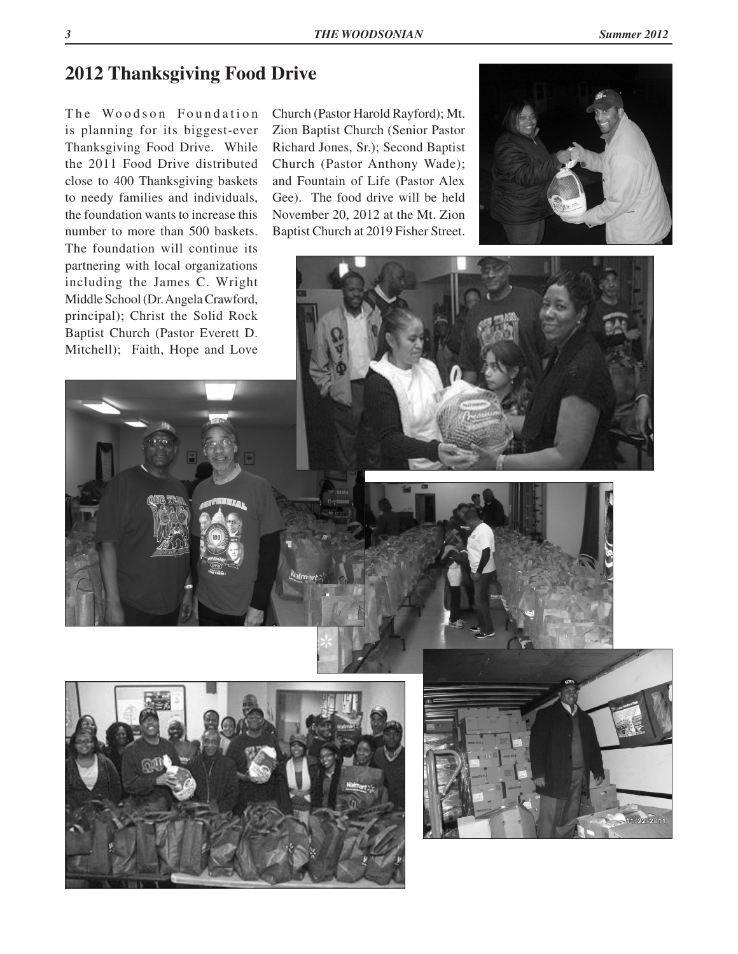## **2012 Thanksgiving Food Drive**

The Woodson Foundation is planning for its biggest-ever Thanksgiving Food Drive. While the 2011 Food Drive distributed close to 400 Thanksgiving baskets to needy families and individuals, the foundation wants to increase this number to more than 500 baskets. The foundation will continue its partnering with local organizations including the James C. Wright Middle School (Dr. Angela Crawford, principal); Christ the Solid Rock Baptist Church (Pastor Everett D. Mitchell); Faith, Hope and Love

Church (Pastor Harold Rayford); Mt. Zion Baptist Church (Senior Pastor Richard Jones, Sr.); Second Baptist Church (Pastor Anthony Wade); and Fountain of Life (Pastor Alex Gee). The food drive will be held November 20, 2012 at the Mt. Zion Baptist Church at 2019 Fisher Street.